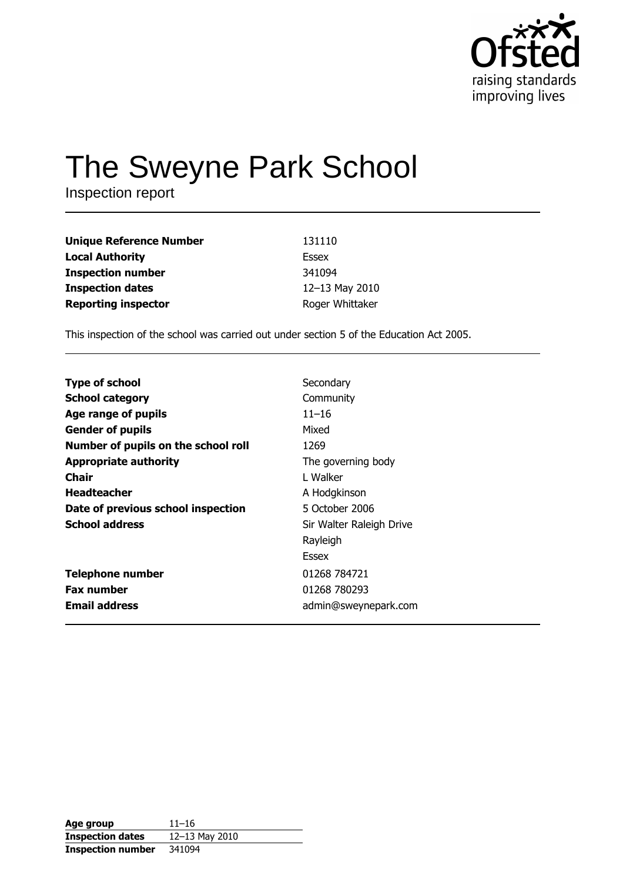

# The Sweyne Park School

Inspection report

| <b>Unique Reference Number</b> | 131110          |
|--------------------------------|-----------------|
| <b>Local Authority</b>         | Essex           |
| <b>Inspection number</b>       | 341094          |
| <b>Inspection dates</b>        | 12-13 May 2010  |
| <b>Reporting inspector</b>     | Roger Whittaker |

This inspection of the school was carried out under section 5 of the Education Act 2005.

| <b>Type of school</b>               | Secondary                |
|-------------------------------------|--------------------------|
| <b>School category</b>              | Community                |
| Age range of pupils                 | $11 - 16$                |
| <b>Gender of pupils</b>             | Mixed                    |
| Number of pupils on the school roll | 1269                     |
| <b>Appropriate authority</b>        | The governing body       |
| Chair                               | L Walker                 |
| <b>Headteacher</b>                  | A Hodgkinson             |
| Date of previous school inspection  | 5 October 2006           |
| <b>School address</b>               | Sir Walter Raleigh Drive |
|                                     | Rayleigh                 |
|                                     | Essex                    |
| <b>Telephone number</b>             | 01268 784721             |
| <b>Fax number</b>                   | 01268 780293             |
| <b>Email address</b>                | admin@sweynepark.com     |
|                                     |                          |

| Age group                | $11 - 16$      |
|--------------------------|----------------|
| <b>Inspection dates</b>  | 12-13 May 2010 |
| <b>Inspection number</b> | 341094         |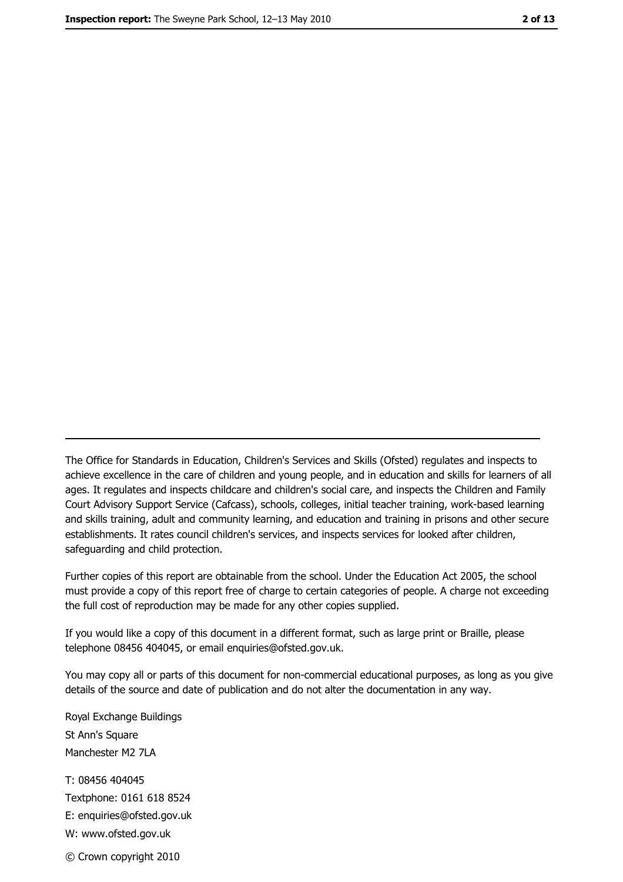The Office for Standards in Education, Children's Services and Skills (Ofsted) regulates and inspects to achieve excellence in the care of children and young people, and in education and skills for learners of all ages. It regulates and inspects childcare and children's social care, and inspects the Children and Family Court Advisory Support Service (Cafcass), schools, colleges, initial teacher training, work-based learning and skills training, adult and community learning, and education and training in prisons and other secure establishments. It rates council children's services, and inspects services for looked after children, safequarding and child protection.

Further copies of this report are obtainable from the school. Under the Education Act 2005, the school must provide a copy of this report free of charge to certain categories of people. A charge not exceeding the full cost of reproduction may be made for any other copies supplied.

If you would like a copy of this document in a different format, such as large print or Braille, please telephone 08456 404045, or email enquiries@ofsted.gov.uk.

You may copy all or parts of this document for non-commercial educational purposes, as long as you give details of the source and date of publication and do not alter the documentation in any way.

Royal Exchange Buildings St Ann's Square Manchester M2 7LA T: 08456 404045 Textphone: 0161 618 8524 E: enquiries@ofsted.gov.uk W: www.ofsted.gov.uk © Crown copyright 2010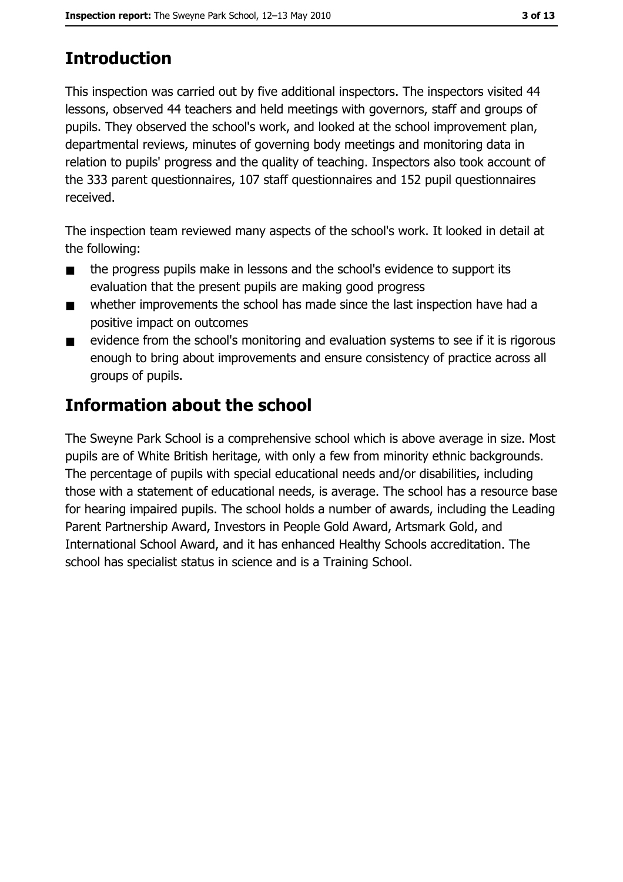# **Introduction**

This inspection was carried out by five additional inspectors. The inspectors visited 44 lessons, observed 44 teachers and held meetings with governors, staff and groups of pupils. They observed the school's work, and looked at the school improvement plan, departmental reviews, minutes of governing body meetings and monitoring data in relation to pupils' progress and the quality of teaching. Inspectors also took account of the 333 parent questionnaires, 107 staff questionnaires and 152 pupil questionnaires received.

The inspection team reviewed many aspects of the school's work. It looked in detail at the following:

- the progress pupils make in lessons and the school's evidence to support its  $\blacksquare$ evaluation that the present pupils are making good progress
- whether improvements the school has made since the last inspection have had a  $\blacksquare$ positive impact on outcomes
- evidence from the school's monitoring and evaluation systems to see if it is rigorous  $\blacksquare$ enough to bring about improvements and ensure consistency of practice across all groups of pupils.

# **Information about the school**

The Sweyne Park School is a comprehensive school which is above average in size. Most pupils are of White British heritage, with only a few from minority ethnic backgrounds. The percentage of pupils with special educational needs and/or disabilities, including those with a statement of educational needs, is average. The school has a resource base for hearing impaired pupils. The school holds a number of awards, including the Leading Parent Partnership Award, Investors in People Gold Award, Artsmark Gold, and International School Award, and it has enhanced Healthy Schools accreditation. The school has specialist status in science and is a Training School.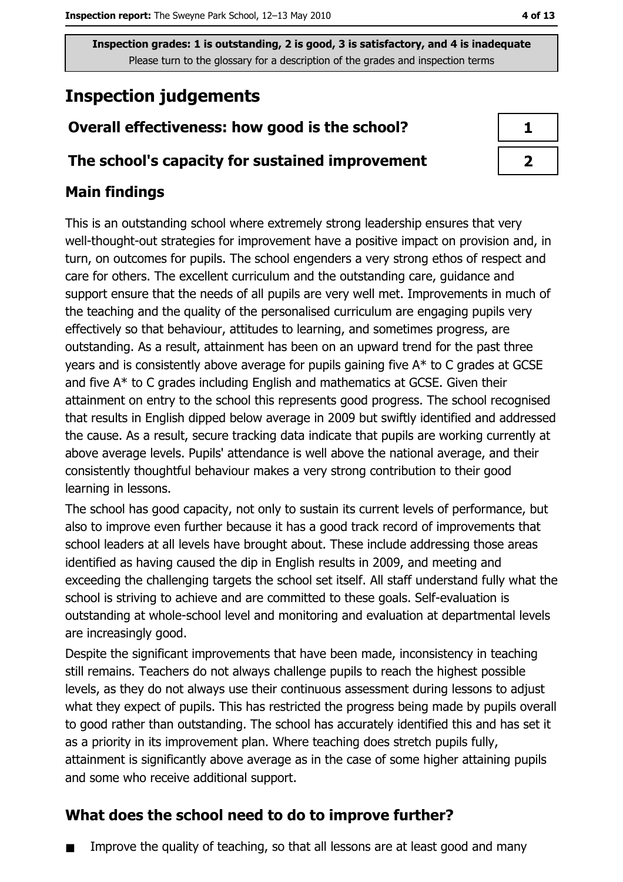# **Inspection judgements**

## Overall effectiveness: how good is the school?

#### The school's capacity for sustained improvement

## **Main findings**

This is an outstanding school where extremely strong leadership ensures that very well-thought-out strategies for improvement have a positive impact on provision and, in turn, on outcomes for pupils. The school engenders a very strong ethos of respect and care for others. The excellent curriculum and the outstanding care, guidance and support ensure that the needs of all pupils are very well met. Improvements in much of the teaching and the quality of the personalised curriculum are engaging pupils very effectively so that behaviour, attitudes to learning, and sometimes progress, are outstanding. As a result, attainment has been on an upward trend for the past three years and is consistently above average for pupils gaining five A\* to C grades at GCSE and five A\* to C grades including English and mathematics at GCSE. Given their attainment on entry to the school this represents good progress. The school recognised that results in English dipped below average in 2009 but swiftly identified and addressed the cause. As a result, secure tracking data indicate that pupils are working currently at above average levels. Pupils' attendance is well above the national average, and their consistently thoughtful behaviour makes a very strong contribution to their good learning in lessons.

The school has good capacity, not only to sustain its current levels of performance, but also to improve even further because it has a good track record of improvements that school leaders at all levels have brought about. These include addressing those areas identified as having caused the dip in English results in 2009, and meeting and exceeding the challenging targets the school set itself. All staff understand fully what the school is striving to achieve and are committed to these goals. Self-evaluation is outstanding at whole-school level and monitoring and evaluation at departmental levels are increasingly good.

Despite the significant improvements that have been made, inconsistency in teaching still remains. Teachers do not always challenge pupils to reach the highest possible levels, as they do not always use their continuous assessment during lessons to adjust what they expect of pupils. This has restricted the progress being made by pupils overall to good rather than outstanding. The school has accurately identified this and has set it as a priority in its improvement plan. Where teaching does stretch pupils fully, attainment is significantly above average as in the case of some higher attaining pupils and some who receive additional support.

## What does the school need to do to improve further?

Improve the quality of teaching, so that all lessons are at least good and many  $\blacksquare$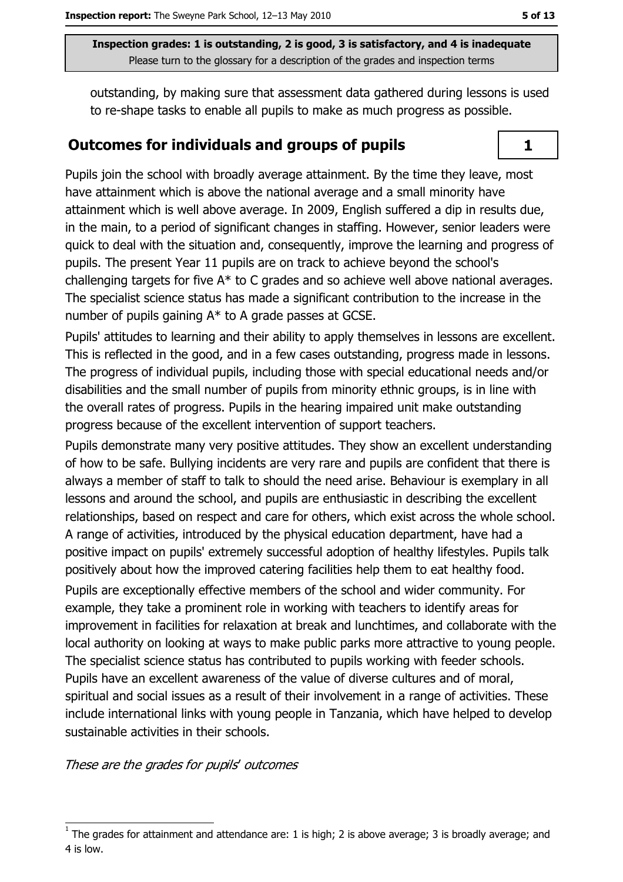outstanding, by making sure that assessment data gathered during lessons is used to re-shape tasks to enable all pupils to make as much progress as possible.

#### **Outcomes for individuals and groups of pupils**



Pupils join the school with broadly average attainment. By the time they leave, most have attainment which is above the national average and a small minority have attainment which is well above average. In 2009, English suffered a dip in results due, in the main, to a period of significant changes in staffing. However, senior leaders were quick to deal with the situation and, consequently, improve the learning and progress of pupils. The present Year 11 pupils are on track to achieve beyond the school's challenging targets for five A\* to C grades and so achieve well above national averages. The specialist science status has made a significant contribution to the increase in the number of pupils gaining A\* to A grade passes at GCSE.

Pupils' attitudes to learning and their ability to apply themselves in lessons are excellent. This is reflected in the good, and in a few cases outstanding, progress made in lessons. The progress of individual pupils, including those with special educational needs and/or disabilities and the small number of pupils from minority ethnic groups, is in line with the overall rates of progress. Pupils in the hearing impaired unit make outstanding progress because of the excellent intervention of support teachers.

Pupils demonstrate many very positive attitudes. They show an excellent understanding of how to be safe. Bullying incidents are very rare and pupils are confident that there is always a member of staff to talk to should the need arise. Behaviour is exemplary in all lessons and around the school, and pupils are enthusiastic in describing the excellent relationships, based on respect and care for others, which exist across the whole school. A range of activities, introduced by the physical education department, have had a positive impact on pupils' extremely successful adoption of healthy lifestyles. Pupils talk positively about how the improved catering facilities help them to eat healthy food. Pupils are exceptionally effective members of the school and wider community. For example, they take a prominent role in working with teachers to identify areas for improvement in facilities for relaxation at break and lunchtimes, and collaborate with the local authority on looking at ways to make public parks more attractive to young people. The specialist science status has contributed to pupils working with feeder schools. Pupils have an excellent awareness of the value of diverse cultures and of moral, spiritual and social issues as a result of their involvement in a range of activities. These include international links with young people in Tanzania, which have helped to develop sustainable activities in their schools.

These are the grades for pupils' outcomes

The grades for attainment and attendance are: 1 is high; 2 is above average; 3 is broadly average; and 4 is low.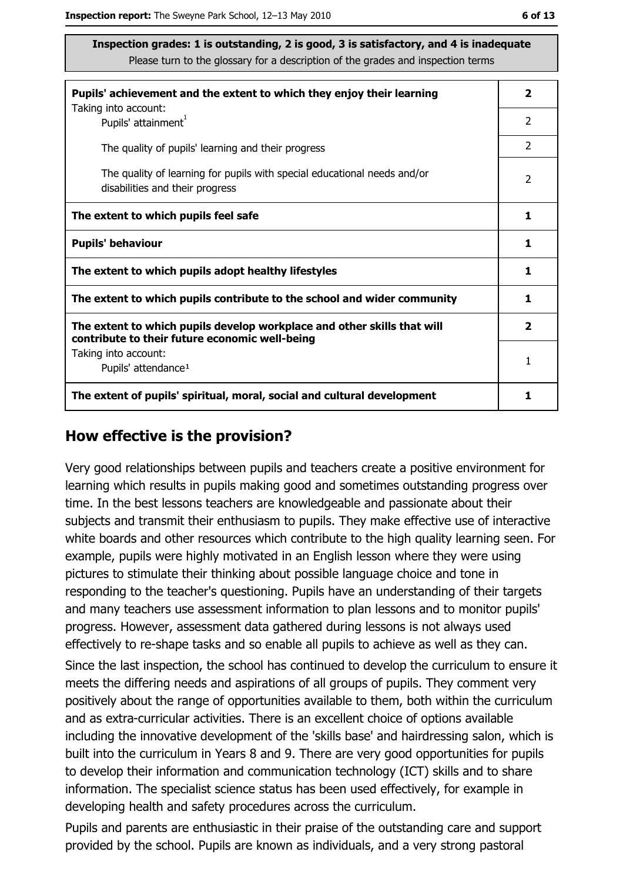| Pupils' achievement and the extent to which they enjoy their learning                                                     | $\overline{\mathbf{2}}$ |
|---------------------------------------------------------------------------------------------------------------------------|-------------------------|
| Taking into account:<br>Pupils' attainment <sup>1</sup>                                                                   | $\overline{2}$          |
| The quality of pupils' learning and their progress                                                                        | $\overline{2}$          |
| The quality of learning for pupils with special educational needs and/or<br>disabilities and their progress               | $\mathcal{P}$           |
| The extent to which pupils feel safe                                                                                      | 1                       |
| <b>Pupils' behaviour</b>                                                                                                  |                         |
| The extent to which pupils adopt healthy lifestyles                                                                       | 1                       |
| The extent to which pupils contribute to the school and wider community                                                   |                         |
| The extent to which pupils develop workplace and other skills that will<br>contribute to their future economic well-being | $\overline{\mathbf{2}}$ |
| Taking into account:<br>Pupils' attendance <sup>1</sup>                                                                   | 1                       |
| The extent of pupils' spiritual, moral, social and cultural development                                                   |                         |

#### How effective is the provision?

Very good relationships between pupils and teachers create a positive environment for learning which results in pupils making good and sometimes outstanding progress over time. In the best lessons teachers are knowledgeable and passionate about their subjects and transmit their enthusiasm to pupils. They make effective use of interactive white boards and other resources which contribute to the high quality learning seen. For example, pupils were highly motivated in an English lesson where they were using pictures to stimulate their thinking about possible language choice and tone in responding to the teacher's questioning. Pupils have an understanding of their targets and many teachers use assessment information to plan lessons and to monitor pupils' progress. However, assessment data gathered during lessons is not always used effectively to re-shape tasks and so enable all pupils to achieve as well as they can. Since the last inspection, the school has continued to develop the curriculum to ensure it meets the differing needs and aspirations of all groups of pupils. They comment very positively about the range of opportunities available to them, both within the curriculum and as extra-curricular activities. There is an excellent choice of options available including the innovative development of the 'skills base' and hairdressing salon, which is built into the curriculum in Years 8 and 9. There are very good opportunities for pupils to develop their information and communication technology (ICT) skills and to share information. The specialist science status has been used effectively, for example in developing health and safety procedures across the curriculum.

Pupils and parents are enthusiastic in their praise of the outstanding care and support provided by the school. Pupils are known as individuals, and a very strong pastoral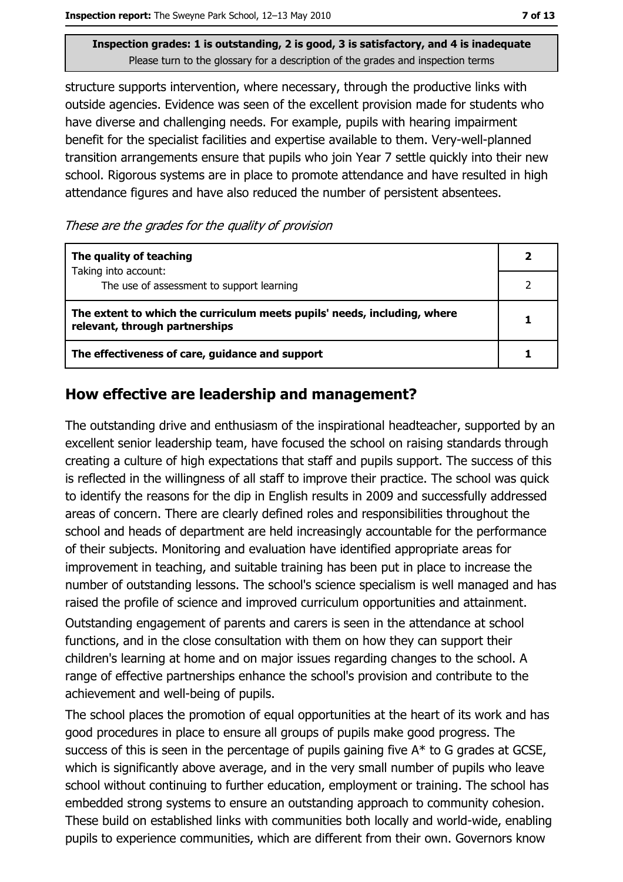structure supports intervention, where necessary, through the productive links with outside agencies. Evidence was seen of the excellent provision made for students who have diverse and challenging needs. For example, pupils with hearing impairment benefit for the specialist facilities and expertise available to them. Very-well-planned transition arrangements ensure that pupils who join Year 7 settle quickly into their new school. Rigorous systems are in place to promote attendance and have resulted in high attendance figures and have also reduced the number of persistent absentees.

These are the grades for the quality of provision

| The quality of teaching                                                                                    |  |
|------------------------------------------------------------------------------------------------------------|--|
| Taking into account:<br>The use of assessment to support learning                                          |  |
| The extent to which the curriculum meets pupils' needs, including, where<br>relevant, through partnerships |  |
| The effectiveness of care, guidance and support                                                            |  |

#### How effective are leadership and management?

The outstanding drive and enthusiasm of the inspirational headteacher, supported by an excellent senior leadership team, have focused the school on raising standards through creating a culture of high expectations that staff and pupils support. The success of this is reflected in the willingness of all staff to improve their practice. The school was quick to identify the reasons for the dip in English results in 2009 and successfully addressed areas of concern. There are clearly defined roles and responsibilities throughout the school and heads of department are held increasingly accountable for the performance of their subjects. Monitoring and evaluation have identified appropriate areas for improvement in teaching, and suitable training has been put in place to increase the number of outstanding lessons. The school's science specialism is well managed and has raised the profile of science and improved curriculum opportunities and attainment. Outstanding engagement of parents and carers is seen in the attendance at school functions, and in the close consultation with them on how they can support their children's learning at home and on major issues regarding changes to the school. A range of effective partnerships enhance the school's provision and contribute to the achievement and well-being of pupils.

The school places the promotion of equal opportunities at the heart of its work and has good procedures in place to ensure all groups of pupils make good progress. The success of this is seen in the percentage of pupils gaining five A\* to G grades at GCSE, which is significantly above average, and in the very small number of pupils who leave school without continuing to further education, employment or training. The school has embedded strong systems to ensure an outstanding approach to community cohesion. These build on established links with communities both locally and world-wide, enabling pupils to experience communities, which are different from their own. Governors know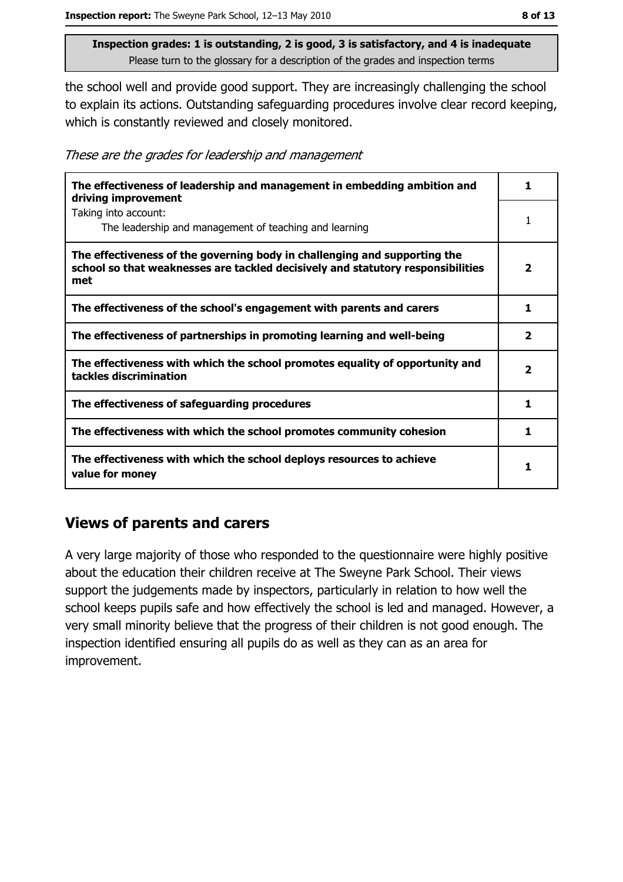the school well and provide good support. They are increasingly challenging the school to explain its actions. Outstanding safeguarding procedures involve clear record keeping, which is constantly reviewed and closely monitored.

These are the grades for leadership and management

| The effectiveness of leadership and management in embedding ambition and<br>driving improvement                                                                     |                         |
|---------------------------------------------------------------------------------------------------------------------------------------------------------------------|-------------------------|
| Taking into account:<br>The leadership and management of teaching and learning                                                                                      |                         |
| The effectiveness of the governing body in challenging and supporting the<br>school so that weaknesses are tackled decisively and statutory responsibilities<br>met | $\overline{\mathbf{2}}$ |
| The effectiveness of the school's engagement with parents and carers                                                                                                | 1                       |
| The effectiveness of partnerships in promoting learning and well-being                                                                                              | 2                       |
| The effectiveness with which the school promotes equality of opportunity and<br>tackles discrimination                                                              | $\overline{\mathbf{2}}$ |
| The effectiveness of safeguarding procedures                                                                                                                        | 1                       |
| The effectiveness with which the school promotes community cohesion                                                                                                 | 1.                      |
| The effectiveness with which the school deploys resources to achieve<br>value for money                                                                             |                         |

#### **Views of parents and carers**

A very large majority of those who responded to the questionnaire were highly positive about the education their children receive at The Sweyne Park School. Their views support the judgements made by inspectors, particularly in relation to how well the school keeps pupils safe and how effectively the school is led and managed. However, a very small minority believe that the progress of their children is not good enough. The inspection identified ensuring all pupils do as well as they can as an area for improvement.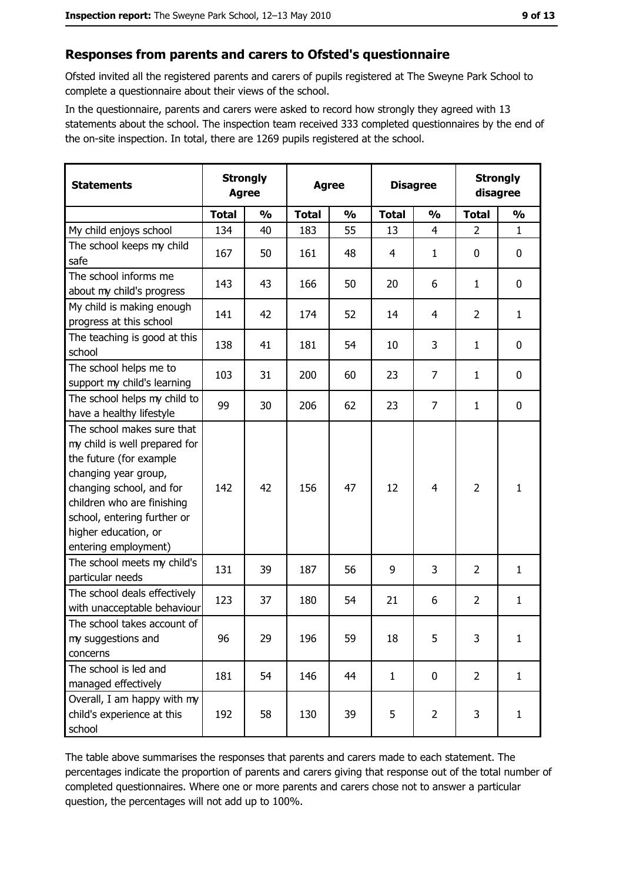#### Responses from parents and carers to Ofsted's questionnaire

Ofsted invited all the registered parents and carers of pupils registered at The Sweyne Park School to complete a questionnaire about their views of the school.

In the questionnaire, parents and carers were asked to record how strongly they agreed with 13 statements about the school. The inspection team received 333 completed questionnaires by the end of the on-site inspection. In total, there are 1269 pupils registered at the school.

| <b>Statements</b>                                                                                                                                                                                                                                       | <b>Strongly</b><br><b>Agree</b> |               | <b>Agree</b> |               |              | <b>Disagree</b> |                | <b>Strongly</b><br>disagree |  |
|---------------------------------------------------------------------------------------------------------------------------------------------------------------------------------------------------------------------------------------------------------|---------------------------------|---------------|--------------|---------------|--------------|-----------------|----------------|-----------------------------|--|
|                                                                                                                                                                                                                                                         | <b>Total</b>                    | $\frac{0}{0}$ | <b>Total</b> | $\frac{0}{0}$ | <b>Total</b> | $\frac{0}{0}$   | <b>Total</b>   | $\frac{0}{0}$               |  |
| My child enjoys school                                                                                                                                                                                                                                  | 134                             | 40            | 183          | 55            | 13           | $\overline{4}$  | $\overline{2}$ | $\mathbf{1}$                |  |
| The school keeps my child<br>safe                                                                                                                                                                                                                       | 167                             | 50            | 161          | 48            | 4            | 1               | 0              | $\mathbf 0$                 |  |
| The school informs me<br>about my child's progress                                                                                                                                                                                                      | 143                             | 43            | 166          | 50            | 20           | 6               | 1              | 0                           |  |
| My child is making enough<br>progress at this school                                                                                                                                                                                                    | 141                             | 42            | 174          | 52            | 14           | 4               | $\overline{2}$ | $\mathbf{1}$                |  |
| The teaching is good at this<br>school                                                                                                                                                                                                                  | 138                             | 41            | 181          | 54            | 10           | 3               | 1              | 0                           |  |
| The school helps me to<br>support my child's learning                                                                                                                                                                                                   | 103                             | 31            | 200          | 60            | 23           | $\overline{7}$  | 1              | $\mathbf 0$                 |  |
| The school helps my child to<br>have a healthy lifestyle                                                                                                                                                                                                | 99                              | 30            | 206          | 62            | 23           | $\overline{7}$  | 1              | $\mathbf 0$                 |  |
| The school makes sure that<br>my child is well prepared for<br>the future (for example<br>changing year group,<br>changing school, and for<br>children who are finishing<br>school, entering further or<br>higher education, or<br>entering employment) | 142                             | 42            | 156          | 47            | 12           | $\overline{4}$  | $\overline{2}$ | $\mathbf{1}$                |  |
| The school meets my child's<br>particular needs                                                                                                                                                                                                         | 131                             | 39            | 187          | 56            | 9            | 3               | $\overline{2}$ | $\mathbf{1}$                |  |
| The school deals effectively<br>with unacceptable behaviour                                                                                                                                                                                             | 123                             | 37            | 180          | 54            | 21           | 6               | $\overline{2}$ | $\mathbf{1}$                |  |
| The school takes account of<br>my suggestions and<br>concerns                                                                                                                                                                                           | 96                              | 29            | 196          | 59            | 18           | 5               | $\overline{3}$ | $\mathbf{1}$                |  |
| The school is led and<br>managed effectively                                                                                                                                                                                                            | 181                             | 54            | 146          | 44            | $\mathbf{1}$ | $\mathbf 0$     | $\overline{2}$ | $\mathbf{1}$                |  |
| Overall, I am happy with my<br>child's experience at this<br>school                                                                                                                                                                                     | 192                             | 58            | 130          | 39            | 5            | $\overline{2}$  | 3              | $\mathbf{1}$                |  |

The table above summarises the responses that parents and carers made to each statement. The percentages indicate the proportion of parents and carers giving that response out of the total number of completed questionnaires. Where one or more parents and carers chose not to answer a particular question, the percentages will not add up to 100%.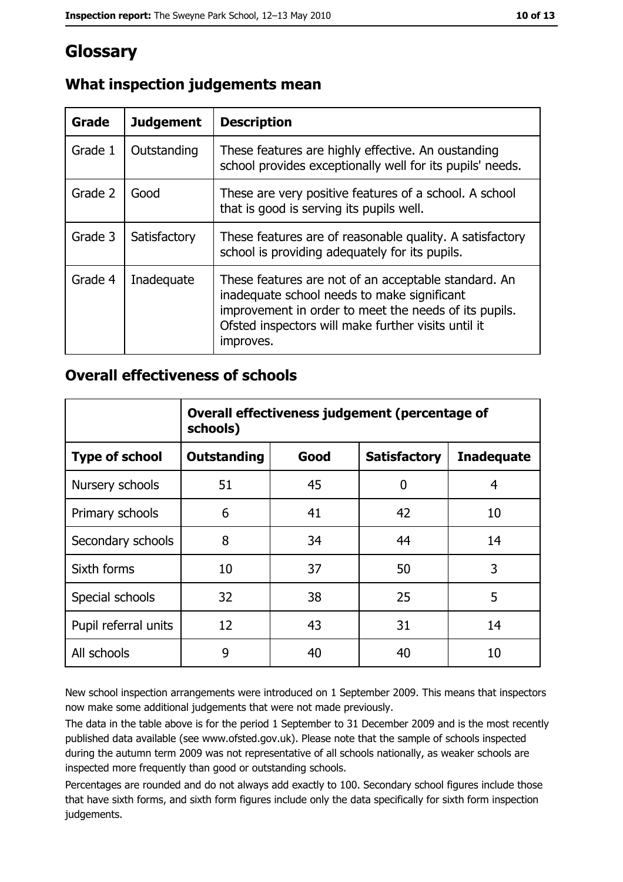## Glossary

| <b>Grade</b> | <b>Judgement</b> | <b>Description</b>                                                                                                                                                                                                               |
|--------------|------------------|----------------------------------------------------------------------------------------------------------------------------------------------------------------------------------------------------------------------------------|
| Grade 1      | Outstanding      | These features are highly effective. An oustanding<br>school provides exceptionally well for its pupils' needs.                                                                                                                  |
| Grade 2      | Good             | These are very positive features of a school. A school<br>that is good is serving its pupils well.                                                                                                                               |
| Grade 3      | Satisfactory     | These features are of reasonable quality. A satisfactory<br>school is providing adequately for its pupils.                                                                                                                       |
| Grade 4      | Inadequate       | These features are not of an acceptable standard. An<br>inadequate school needs to make significant<br>improvement in order to meet the needs of its pupils.<br>Ofsted inspectors will make further visits until it<br>improves. |

### What inspection judgements mean

#### **Overall effectiveness of schools**

|                       | Overall effectiveness judgement (percentage of<br>schools) |      |                     |                   |
|-----------------------|------------------------------------------------------------|------|---------------------|-------------------|
| <b>Type of school</b> | <b>Outstanding</b>                                         | Good | <b>Satisfactory</b> | <b>Inadequate</b> |
| Nursery schools       | 51                                                         | 45   | 0                   | 4                 |
| Primary schools       | 6                                                          | 41   | 42                  | 10                |
| Secondary schools     | 8                                                          | 34   | 44                  | 14                |
| Sixth forms           | 10                                                         | 37   | 50                  | 3                 |
| Special schools       | 32                                                         | 38   | 25                  | 5                 |
| Pupil referral units  | 12                                                         | 43   | 31                  | 14                |
| All schools           | 9                                                          | 40   | 40                  | 10                |

New school inspection arrangements were introduced on 1 September 2009. This means that inspectors now make some additional judgements that were not made previously.

The data in the table above is for the period 1 September to 31 December 2009 and is the most recently published data available (see www.ofsted.gov.uk). Please note that the sample of schools inspected during the autumn term 2009 was not representative of all schools nationally, as weaker schools are inspected more frequently than good or outstanding schools.

Percentages are rounded and do not always add exactly to 100. Secondary school figures include those that have sixth forms, and sixth form figures include only the data specifically for sixth form inspection judgements.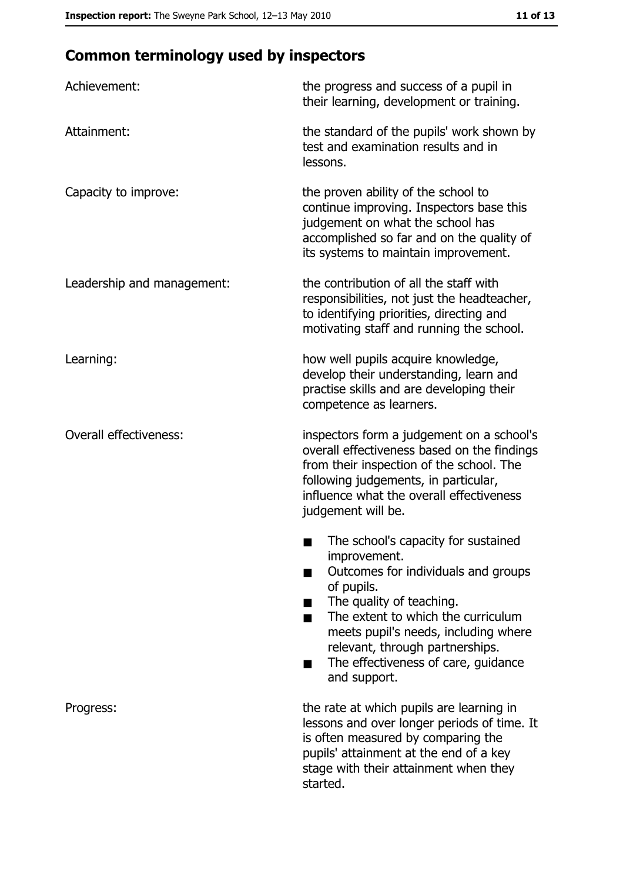# **Common terminology used by inspectors**

| Achievement:                  | the progress and success of a pupil in<br>their learning, development or training.                                                                                                                                                                                                                                |
|-------------------------------|-------------------------------------------------------------------------------------------------------------------------------------------------------------------------------------------------------------------------------------------------------------------------------------------------------------------|
| Attainment:                   | the standard of the pupils' work shown by<br>test and examination results and in<br>lessons.                                                                                                                                                                                                                      |
| Capacity to improve:          | the proven ability of the school to<br>continue improving. Inspectors base this<br>judgement on what the school has<br>accomplished so far and on the quality of<br>its systems to maintain improvement.                                                                                                          |
| Leadership and management:    | the contribution of all the staff with<br>responsibilities, not just the headteacher,<br>to identifying priorities, directing and<br>motivating staff and running the school.                                                                                                                                     |
| Learning:                     | how well pupils acquire knowledge,<br>develop their understanding, learn and<br>practise skills and are developing their<br>competence as learners.                                                                                                                                                               |
| <b>Overall effectiveness:</b> | inspectors form a judgement on a school's<br>overall effectiveness based on the findings<br>from their inspection of the school. The<br>following judgements, in particular,<br>influence what the overall effectiveness<br>judgement will be.                                                                    |
|                               | The school's capacity for sustained<br>improvement.<br>Outcomes for individuals and groups<br>of pupils.<br>The quality of teaching.<br>The extent to which the curriculum<br>meets pupil's needs, including where<br>relevant, through partnerships.<br>The effectiveness of care, guidance<br>٠<br>and support. |
| Progress:                     | the rate at which pupils are learning in<br>lessons and over longer periods of time. It<br>is often measured by comparing the<br>pupils' attainment at the end of a key<br>stage with their attainment when they<br>started.                                                                                      |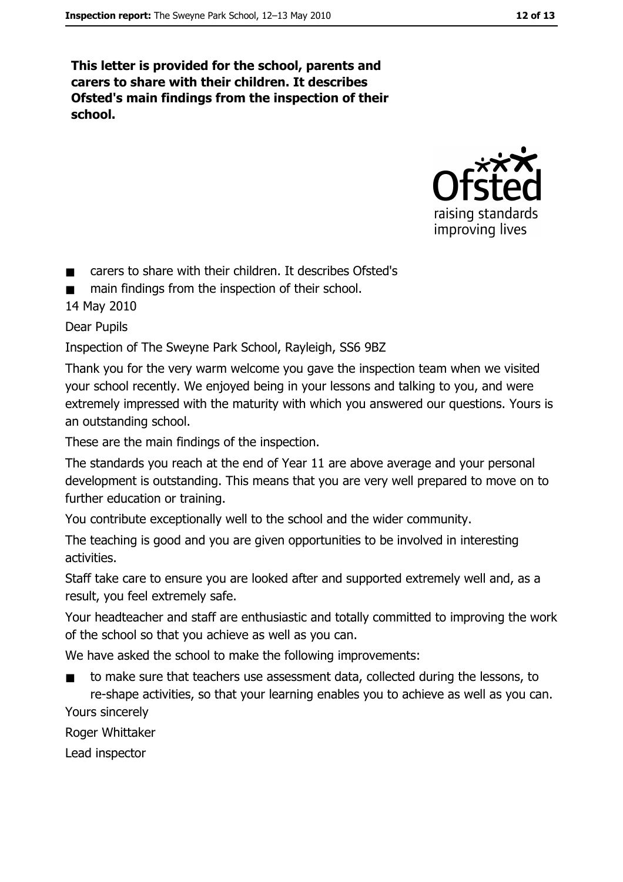This letter is provided for the school, parents and carers to share with their children. It describes Ofsted's main findings from the inspection of their school.



- carers to share with their children. It describes Ofsted's  $\blacksquare$
- main findings from the inspection of their school.

14 May 2010

**Dear Pupils** 

Inspection of The Sweyne Park School, Rayleigh, SS6 9BZ

Thank you for the very warm welcome you gave the inspection team when we visited your school recently. We enjoyed being in your lessons and talking to you, and were extremely impressed with the maturity with which you answered our questions. Yours is an outstanding school.

These are the main findings of the inspection.

The standards you reach at the end of Year 11 are above average and your personal development is outstanding. This means that you are very well prepared to move on to further education or training.

You contribute exceptionally well to the school and the wider community.

The teaching is good and you are given opportunities to be involved in interesting activities.

Staff take care to ensure you are looked after and supported extremely well and, as a result, you feel extremely safe.

Your headteacher and staff are enthusiastic and totally committed to improving the work of the school so that you achieve as well as you can.

We have asked the school to make the following improvements:

to make sure that teachers use assessment data, collected during the lessons, to  $\blacksquare$ re-shape activities, so that your learning enables you to achieve as well as you can. Yours sincerely

Roger Whittaker

Lead inspector